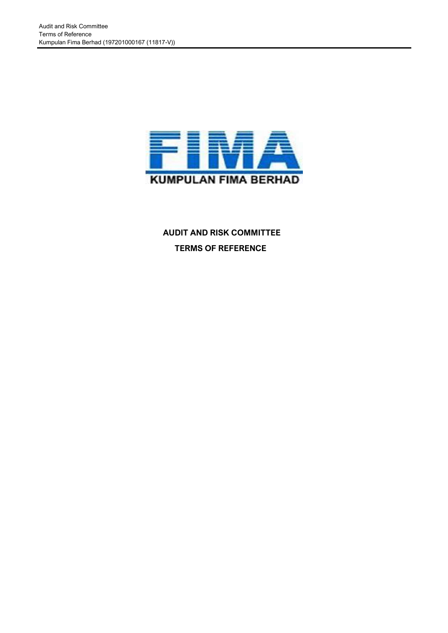

# **AUDIT AND RISK COMMITTEE TERMS OF REFERENCE**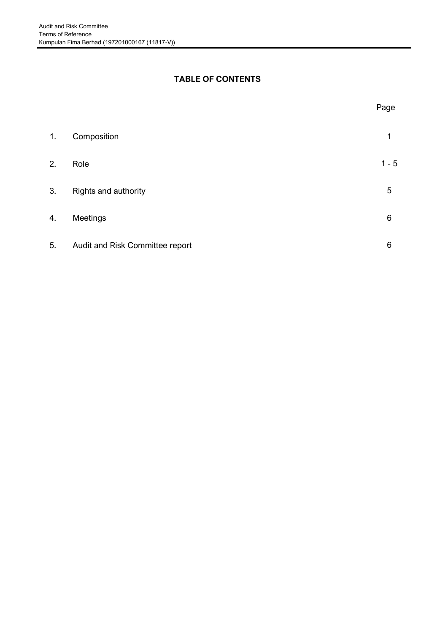# **TABLE OF CONTENTS**

| 1. | Composition                     |         |
|----|---------------------------------|---------|
| 2. | Role                            | $1 - 5$ |
| 3. | Rights and authority            | 5       |
| 4. | Meetings                        | 6       |
| 5. | Audit and Risk Committee report | 6       |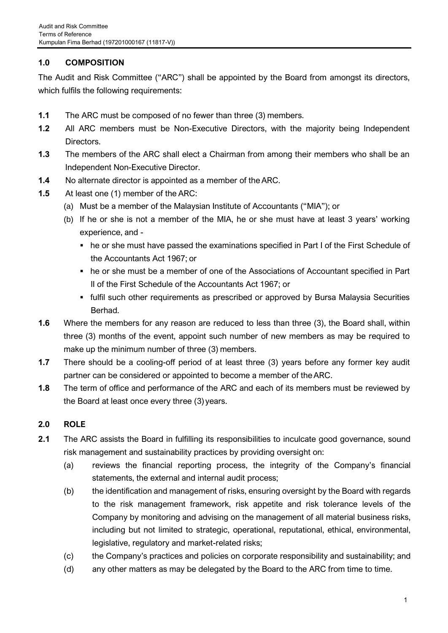# **1.0 COMPOSITION**

The Audit and Risk Committee ("ARC") shall be appointed by the Board from amongst its directors, which fulfils the following requirements:

- **1.1** The ARC must be composed of no fewer than three (3) members.
- **1.2** All ARC members must be Non-Executive Directors, with the majority being Independent Directors.
- **1.3** The members of the ARC shall elect a Chairman from among their members who shall be an Independent Non-Executive Director.
- **1.4** No alternate director is appointed as a member of theARC.
- **1.5** At least one (1) member of the ARC:
	- (a) Must be a member of the Malaysian Institute of Accountants ("MIA"); or
	- (b) If he or she is not a member of the MIA, he or she must have at least 3 years' working experience, and -
		- he or she must have passed the examinations specified in Part I of the First Schedule of the Accountants Act 1967; or
		- he or she must be a member of one of the Associations of Accountant specified in Part II of the First Schedule of the Accountants Act 1967; or
		- **.** fulfil such other requirements as prescribed or approved by Bursa Malaysia Securities Berhad.
- **1.6** Where the members for any reason are reduced to less than three (3), the Board shall, within three (3) months of the event, appoint such number of new members as may be required to make up the minimum number of three (3) members.
- **1.7** There should be a cooling-off period of at least three (3) years before any former key audit partner can be considered or appointed to become a member of theARC.
- **1.8** The term of office and performance of the ARC and each of its members must be reviewed by the Board at least once every three (3) years.

## **2.0 ROLE**

- **2.1** The ARC assists the Board in fulfilling its responsibilities to inculcate good governance, sound risk management and sustainability practices by providing oversight on:
	- (a) reviews the financial reporting process, the integrity of the Company's financial statements, the external and internal audit process;
	- (b) the identification and management of risks, ensuring oversight by the Board with regards to the risk management framework, risk appetite and risk tolerance levels of the Company by monitoring and advising on the management of all material business risks, including but not limited to strategic, operational, reputational, ethical, environmental, legislative, regulatory and market-related risks;
	- (c) the Company's practices and policies on corporate responsibility and sustainability; and
	- (d) any other matters as may be delegated by the Board to the ARC from time to time.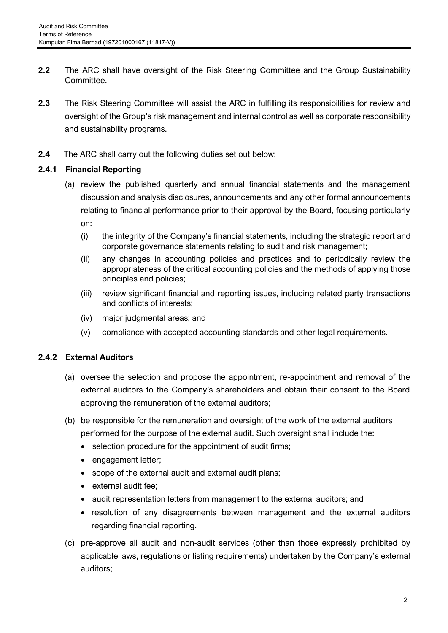- **2.2** The ARC shall have oversight of the Risk Steering Committee and the Group Sustainability Committee.
- **2.3** The Risk Steering Committee will assist the ARC in fulfilling its responsibilities for review and oversight of the Group's risk management and internal control as well as corporate responsibility and sustainability programs.
- **2.4** The ARC shall carry out the following duties set out below:

## **2.4.1 Financial Reporting**

- (a) review the published quarterly and annual financial statements and the management discussion and analysis disclosures, announcements and any other formal announcements relating to financial performance prior to their approval by the Board, focusing particularly on:
	- (i) the integrity of the Company's financial statements, including the strategic report and corporate governance statements relating to audit and risk management;
	- (ii) any changes in accounting policies and practices and to periodically review the appropriateness of the critical accounting policies and the methods of applying those principles and policies;
	- (iii) review significant financial and reporting issues, including related party transactions and conflicts of interests;
	- (iv) major judgmental areas; and
	- (v) compliance with accepted accounting standards and other legal requirements.

## **2.4.2 External Auditors**

- (a) oversee the selection and propose the appointment, re-appointment and removal of the external auditors to the Company's shareholders and obtain their consent to the Board approving the remuneration of the external auditors;
- (b) be responsible for the remuneration and oversight of the work of the external auditors performed for the purpose of the external audit. Such oversight shall include the:
	- selection procedure for the appointment of audit firms;
	- engagement letter;
	- scope of the external audit and external audit plans;
	- external audit fee;
	- audit representation letters from management to the external auditors; and
	- resolution of any disagreements between management and the external auditors regarding financial reporting.
- (c) pre-approve all audit and non-audit services (other than those expressly prohibited by applicable laws, regulations or listing requirements) undertaken by the Company's external auditors;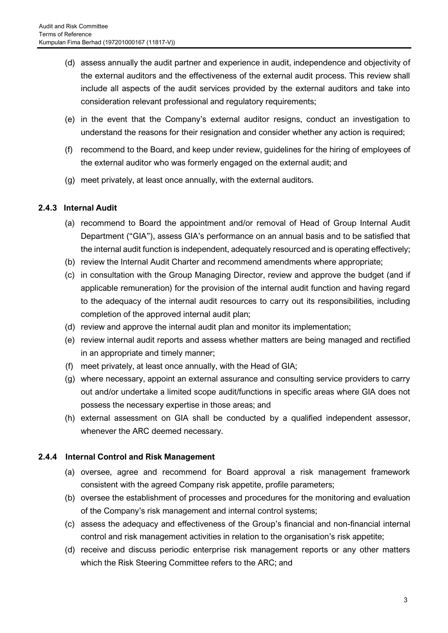- (d) assess annually the audit partner and experience in audit, independence and objectivity of the external auditors and the effectiveness of the external audit process. This review shall include all aspects of the audit services provided by the external auditors and take into consideration relevant professional and regulatory requirements;
- (e) in the event that the Company's external auditor resigns, conduct an investigation to understand the reasons for their resignation and consider whether any action is required;
- (f) recommend to the Board, and keep under review, guidelines for the hiring of employees of the external auditor who was formerly engaged on the external audit; and
- (g) meet privately, at least once annually, with the external auditors.

## **2.4.3 Internal Audit**

- (a) recommend to Board the appointment and/or removal of Head of Group Internal Audit Department ("GIA"), assess GIA's performance on an annual basis and to be satisfied that the internal audit function is independent, adequately resourced and is operating effectively;
- (b) review the Internal Audit Charter and recommend amendments where appropriate;
- (c) in consultation with the Group Managing Director, review and approve the budget (and if applicable remuneration) for the provision of the internal audit function and having regard to the adequacy of the internal audit resources to carry out its responsibilities, including completion of the approved internal audit plan;
- (d) review and approve the internal audit plan and monitor its implementation;
- (e) review internal audit reports and assess whether matters are being managed and rectified in an appropriate and timely manner;
- (f) meet privately, at least once annually, with the Head of GIA;
- (g) where necessary, appoint an external assurance and consulting service providers to carry out and/or undertake a limited scope audit/functions in specific areas where GIA does not possess the necessary expertise in those areas; and
- (h) external assessment on GIA shall be conducted by a qualified independent assessor, whenever the ARC deemed necessary.

## **2.4.4 Internal Control and Risk Management**

- (a) oversee, agree and recommend for Board approval a risk management framework consistent with the agreed Company risk appetite, profile parameters;
- (b) oversee the establishment of processes and procedures for the monitoring and evaluation of the Company's risk management and internal control systems;
- (c) assess the adequacy and effectiveness of the Group's financial and non-financial internal control and risk management activities in relation to the organisation's risk appetite;
- (d) receive and discuss periodic enterprise risk management reports or any other matters which the Risk Steering Committee refers to the ARC; and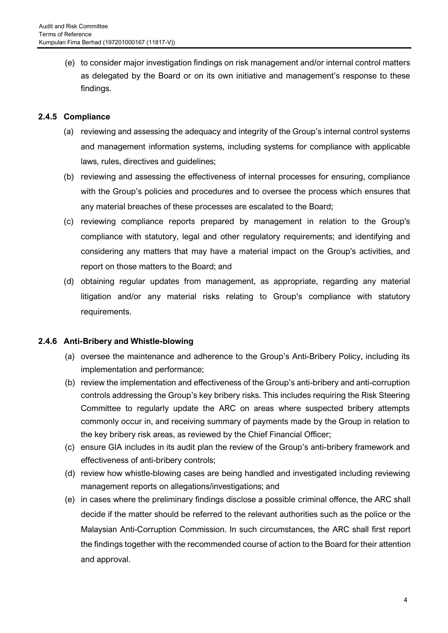(e) to consider major investigation findings on risk management and/or internal control matters as delegated by the Board or on its own initiative and management's response to these findings.

## **2.4.5 Compliance**

- (a) reviewing and assessing the adequacy and integrity of the Group's internal control systems and management information systems, including systems for compliance with applicable laws, rules, directives and guidelines;
- (b) reviewing and assessing the effectiveness of internal processes for ensuring, compliance with the Group's policies and procedures and to oversee the process which ensures that any material breaches of these processes are escalated to the Board;
- (c) reviewing compliance reports prepared by management in relation to the Group's compliance with statutory, legal and other regulatory requirements; and identifying and considering any matters that may have a material impact on the Group's activities, and report on those matters to the Board; and
- (d) obtaining regular updates from management, as appropriate, regarding any material litigation and/or any material risks relating to Group's compliance with statutory requirements.

## **2.4.6 Anti-Bribery and Whistle-blowing**

- (a) oversee the maintenance and adherence to the Group's Anti-Bribery Policy, including its implementation and performance;
- (b) review the implementation and effectiveness of the Group's anti-bribery and anti-corruption controls addressing the Group's key bribery risks. This includes requiring the Risk Steering Committee to regularly update the ARC on areas where suspected bribery attempts commonly occur in, and receiving summary of payments made by the Group in relation to the key bribery risk areas, as reviewed by the Chief Financial Officer;
- (c) ensure GIA includes in its audit plan the review of the Group's anti-bribery framework and effectiveness of anti-bribery controls;
- (d) review how whistle-blowing cases are being handled and investigated including reviewing management reports on allegations/investigations; and
- (e) in cases where the preliminary findings disclose a possible criminal offence, the ARC shall decide if the matter should be referred to the relevant authorities such as the police or the Malaysian Anti-Corruption Commission. In such circumstances, the ARC shall first report the findings together with the recommended course of action to the Board for their attention and approval.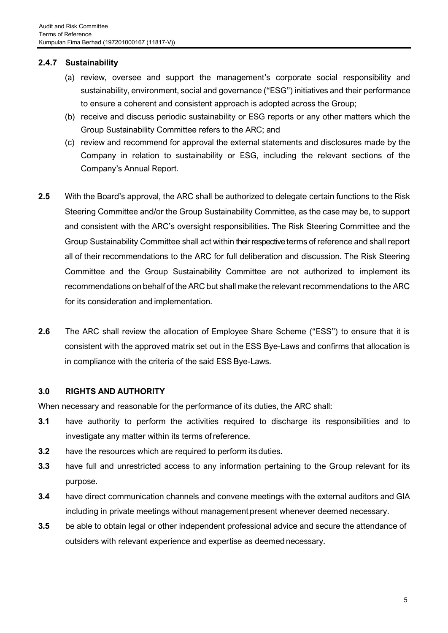## **2.4.7 Sustainability**

- (a) review, oversee and support the management's corporate social responsibility and sustainability, environment, social and governance ("ESG") initiatives and their performance to ensure a coherent and consistent approach is adopted across the Group;
- (b) receive and discuss periodic sustainability or ESG reports or any other matters which the Group Sustainability Committee refers to the ARC; and
- (c) review and recommend for approval the external statements and disclosures made by the Company in relation to sustainability or ESG, including the relevant sections of the Company's Annual Report.
- **2.5** With the Board's approval, the ARC shall be authorized to delegate certain functions to the Risk Steering Committee and/or the Group Sustainability Committee, as the case may be, to support and consistent with the ARC's oversight responsibilities. The Risk Steering Committee and the Group Sustainability Committee shall act within their respective terms of reference and shall report all of their recommendations to the ARC for full deliberation and discussion. The Risk Steering Committee and the Group Sustainability Committee are not authorized to implement its recommendations on behalf of the ARC but shall make the relevant recommendations to the ARC for its consideration and implementation.
- **2.6** The ARC shall review the allocation of Employee Share Scheme ("ESS") to ensure that it is consistent with the approved matrix set out in the ESS Bye-Laws and confirms that allocation is in compliance with the criteria of the said ESS Bye-Laws.

#### **3.0 RIGHTS AND AUTHORITY**

When necessary and reasonable for the performance of its duties, the ARC shall:

- **3.1** have authority to perform the activities required to discharge its responsibilities and to investigate any matter within its terms ofreference.
- **3.2** have the resources which are required to perform its duties.
- **3.3** have full and unrestricted access to any information pertaining to the Group relevant for its purpose.
- **3.4** have direct communication channels and convene meetings with the external auditors and GIA including in private meetings without management present whenever deemed necessary.
- **3.5** be able to obtain legal or other independent professional advice and secure the attendance of outsiders with relevant experience and expertise as deemednecessary.